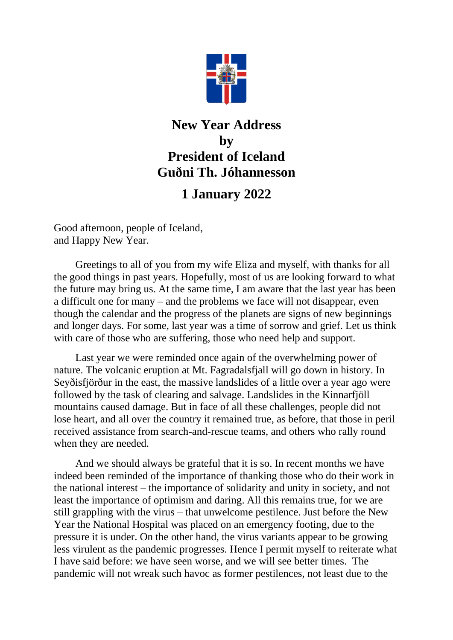

## **New Year Address by President of Iceland Guðni Th. Jóhannesson**

## **1 January 2022**

Good afternoon, people of Iceland, and Happy New Year.

Greetings to all of you from my wife Eliza and myself, with thanks for all the good things in past years. Hopefully, most of us are looking forward to what the future may bring us. At the same time, I am aware that the last year has been a difficult one for many – and the problems we face will not disappear, even though the calendar and the progress of the planets are signs of new beginnings and longer days. For some, last year was a time of sorrow and grief. Let us think with care of those who are suffering, those who need help and support.

Last year we were reminded once again of the overwhelming power of nature. The volcanic eruption at Mt. Fagradalsfjall will go down in history. In Seyðisfjörður in the east, the massive landslides of a little over a year ago were followed by the task of clearing and salvage. Landslides in the Kinnarfjöll mountains caused damage. But in face of all these challenges, people did not lose heart, and all over the country it remained true, as before, that those in peril received assistance from search-and-rescue teams, and others who rally round when they are needed.

And we should always be grateful that it is so. In recent months we have indeed been reminded of the importance of thanking those who do their work in the national interest – the importance of solidarity and unity in society, and not least the importance of optimism and daring. All this remains true, for we are still grappling with the virus – that unwelcome pestilence. Just before the New Year the National Hospital was placed on an emergency footing, due to the pressure it is under. On the other hand, the virus variants appear to be growing less virulent as the pandemic progresses. Hence I permit myself to reiterate what I have said before: we have seen worse, and we will see better times. The pandemic will not wreak such havoc as former pestilences, not least due to the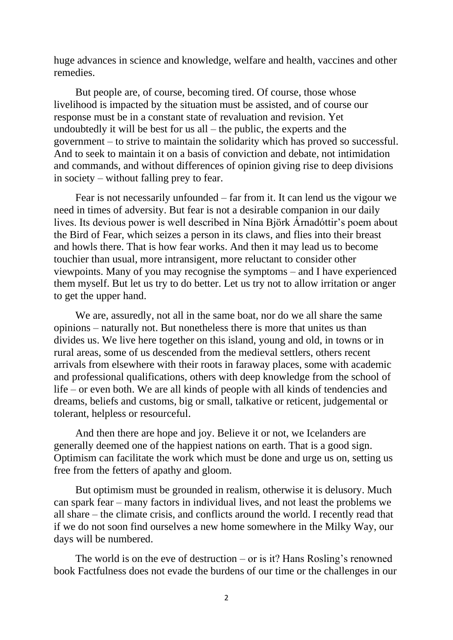huge advances in science and knowledge, welfare and health, vaccines and other remedies.

But people are, of course, becoming tired. Of course, those whose livelihood is impacted by the situation must be assisted, and of course our response must be in a constant state of revaluation and revision. Yet undoubtedly it will be best for us all – the public, the experts and the government – to strive to maintain the solidarity which has proved so successful. And to seek to maintain it on a basis of conviction and debate, not intimidation and commands, and without differences of opinion giving rise to deep divisions in society – without falling prey to fear.

Fear is not necessarily unfounded – far from it. It can lend us the vigour we need in times of adversity. But fear is not a desirable companion in our daily lives. Its devious power is well described in Nína Björk Árnadóttir's poem about the Bird of Fear, which seizes a person in its claws, and flies into their breast and howls there. That is how fear works. And then it may lead us to become touchier than usual, more intransigent, more reluctant to consider other viewpoints. Many of you may recognise the symptoms – and I have experienced them myself. But let us try to do better. Let us try not to allow irritation or anger to get the upper hand.

We are, assuredly, not all in the same boat, nor do we all share the same opinions – naturally not. But nonetheless there is more that unites us than divides us. We live here together on this island, young and old, in towns or in rural areas, some of us descended from the medieval settlers, others recent arrivals from elsewhere with their roots in faraway places, some with academic and professional qualifications, others with deep knowledge from the school of life – or even both. We are all kinds of people with all kinds of tendencies and dreams, beliefs and customs, big or small, talkative or reticent, judgemental or tolerant, helpless or resourceful.

And then there are hope and joy. Believe it or not, we Icelanders are generally deemed one of the happiest nations on earth. That is a good sign. Optimism can facilitate the work which must be done and urge us on, setting us free from the fetters of apathy and gloom.

But optimism must be grounded in realism, otherwise it is delusory. Much can spark fear – many factors in individual lives, and not least the problems we all share – the climate crisis, and conflicts around the world. I recently read that if we do not soon find ourselves a new home somewhere in the Milky Way, our days will be numbered.

The world is on the eve of destruction – or is it? Hans Rosling's renowned book Factfulness does not evade the burdens of our time or the challenges in our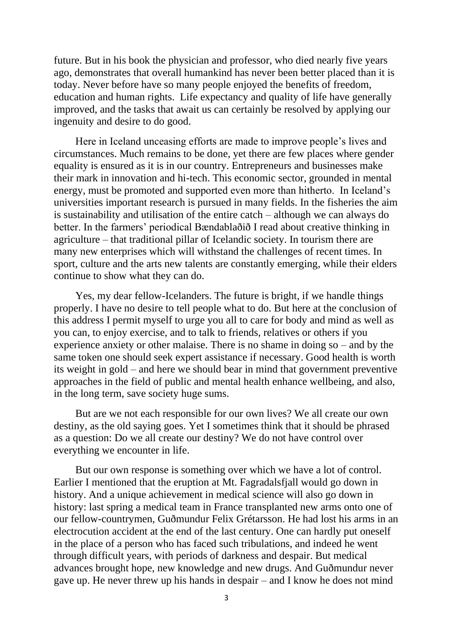future. But in his book the physician and professor, who died nearly five years ago, demonstrates that overall humankind has never been better placed than it is today. Never before have so many people enjoyed the benefits of freedom, education and human rights. Life expectancy and quality of life have generally improved, and the tasks that await us can certainly be resolved by applying our ingenuity and desire to do good.

Here in Iceland unceasing efforts are made to improve people's lives and circumstances. Much remains to be done, yet there are few places where gender equality is ensured as it is in our country. Entrepreneurs and businesses make their mark in innovation and hi-tech. This economic sector, grounded in mental energy, must be promoted and supported even more than hitherto. In Iceland's universities important research is pursued in many fields. In the fisheries the aim is sustainability and utilisation of the entire catch – although we can always do better. In the farmers' periodical Bændablaðið I read about creative thinking in agriculture – that traditional pillar of Icelandic society. In tourism there are many new enterprises which will withstand the challenges of recent times. In sport, culture and the arts new talents are constantly emerging, while their elders continue to show what they can do.

Yes, my dear fellow-Icelanders. The future is bright, if we handle things properly. I have no desire to tell people what to do. But here at the conclusion of this address I permit myself to urge you all to care for body and mind as well as you can, to enjoy exercise, and to talk to friends, relatives or others if you experience anxiety or other malaise. There is no shame in doing so – and by the same token one should seek expert assistance if necessary. Good health is worth its weight in gold – and here we should bear in mind that government preventive approaches in the field of public and mental health enhance wellbeing, and also, in the long term, save society huge sums.

But are we not each responsible for our own lives? We all create our own destiny, as the old saying goes. Yet I sometimes think that it should be phrased as a question: Do we all create our destiny? We do not have control over everything we encounter in life.

But our own response is something over which we have a lot of control. Earlier I mentioned that the eruption at Mt. Fagradalsfjall would go down in history. And a unique achievement in medical science will also go down in history: last spring a medical team in France transplanted new arms onto one of our fellow-countrymen, Guðmundur Felix Grétarsson. He had lost his arms in an electrocution accident at the end of the last century. One can hardly put oneself in the place of a person who has faced such tribulations, and indeed he went through difficult years, with periods of darkness and despair. But medical advances brought hope, new knowledge and new drugs. And Guðmundur never gave up. He never threw up his hands in despair – and I know he does not mind